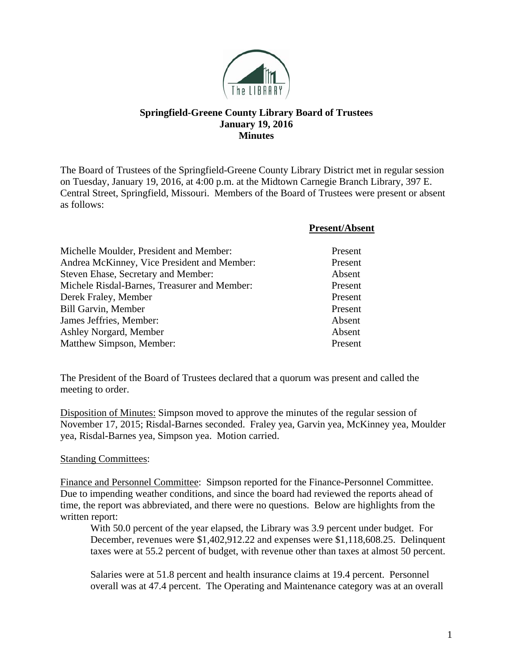

## **Springfield-Greene County Library Board of Trustees January 19, 2016 Minutes**

The Board of Trustees of the Springfield-Greene County Library District met in regular session on Tuesday, January 19, 2016, at 4:00 p.m. at the Midtown Carnegie Branch Library, 397 E. Central Street, Springfield, Missouri. Members of the Board of Trustees were present or absent as follows:

|                                              | <b>Present/Absent</b> |
|----------------------------------------------|-----------------------|
| Michelle Moulder, President and Member:      | Present               |
| Andrea McKinney, Vice President and Member:  | Present               |
| Steven Ehase, Secretary and Member:          | Absent                |
| Michele Risdal-Barnes, Treasurer and Member: | Present               |
| Derek Fraley, Member                         | Present               |
| <b>Bill Garvin, Member</b>                   | Present               |
| James Jeffries, Member:                      | Absent                |
| Ashley Norgard, Member                       | Absent                |
| Matthew Simpson, Member:                     | Present               |

The President of the Board of Trustees declared that a quorum was present and called the meeting to order.

Disposition of Minutes: Simpson moved to approve the minutes of the regular session of November 17, 2015; Risdal-Barnes seconded. Fraley yea, Garvin yea, McKinney yea, Moulder yea, Risdal-Barnes yea, Simpson yea. Motion carried.

## Standing Committees:

Finance and Personnel Committee: Simpson reported for the Finance-Personnel Committee. Due to impending weather conditions, and since the board had reviewed the reports ahead of time, the report was abbreviated, and there were no questions. Below are highlights from the written report:

With 50.0 percent of the year elapsed, the Library was 3.9 percent under budget. For December, revenues were \$1,402,912.22 and expenses were \$1,118,608.25. Delinquent taxes were at 55.2 percent of budget, with revenue other than taxes at almost 50 percent.

Salaries were at 51.8 percent and health insurance claims at 19.4 percent. Personnel overall was at 47.4 percent. The Operating and Maintenance category was at an overall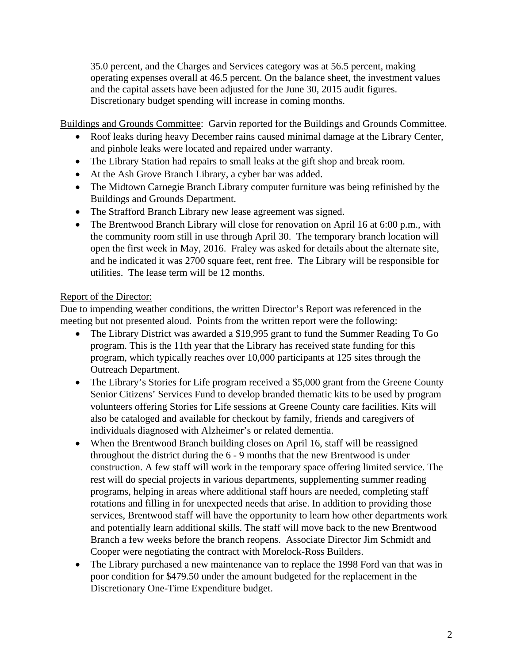35.0 percent, and the Charges and Services category was at 56.5 percent, making operating expenses overall at 46.5 percent. On the balance sheet, the investment values and the capital assets have been adjusted for the June 30, 2015 audit figures. Discretionary budget spending will increase in coming months.

Buildings and Grounds Committee: Garvin reported for the Buildings and Grounds Committee.

- Roof leaks during heavy December rains caused minimal damage at the Library Center, and pinhole leaks were located and repaired under warranty.
- The Library Station had repairs to small leaks at the gift shop and break room.
- At the Ash Grove Branch Library, a cyber bar was added.
- The Midtown Carnegie Branch Library computer furniture was being refinished by the Buildings and Grounds Department.
- The Strafford Branch Library new lease agreement was signed.
- The Brentwood Branch Library will close for renovation on April 16 at 6:00 p.m., with the community room still in use through April 30. The temporary branch location will open the first week in May, 2016. Fraley was asked for details about the alternate site, and he indicated it was 2700 square feet, rent free. The Library will be responsible for utilities. The lease term will be 12 months.

## Report of the Director:

Due to impending weather conditions, the written Director's Report was referenced in the meeting but not presented aloud. Points from the written report were the following:

- The Library District was awarded a \$19,995 grant to fund the Summer Reading To Go program. This is the 11th year that the Library has received state funding for this program, which typically reaches over 10,000 participants at 125 sites through the Outreach Department.
- The Library's Stories for Life program received a \$5,000 grant from the Greene County Senior Citizens' Services Fund to develop branded thematic kits to be used by program volunteers offering Stories for Life sessions at Greene County care facilities. Kits will also be cataloged and available for checkout by family, friends and caregivers of individuals diagnosed with Alzheimer's or related dementia.
- When the Brentwood Branch building closes on April 16, staff will be reassigned throughout the district during the 6 - 9 months that the new Brentwood is under construction. A few staff will work in the temporary space offering limited service. The rest will do special projects in various departments, supplementing summer reading programs, helping in areas where additional staff hours are needed, completing staff rotations and filling in for unexpected needs that arise. In addition to providing those services, Brentwood staff will have the opportunity to learn how other departments work and potentially learn additional skills. The staff will move back to the new Brentwood Branch a few weeks before the branch reopens. Associate Director Jim Schmidt and Cooper were negotiating the contract with Morelock-Ross Builders.
- The Library purchased a new maintenance van to replace the 1998 Ford van that was in poor condition for \$479.50 under the amount budgeted for the replacement in the Discretionary One-Time Expenditure budget.